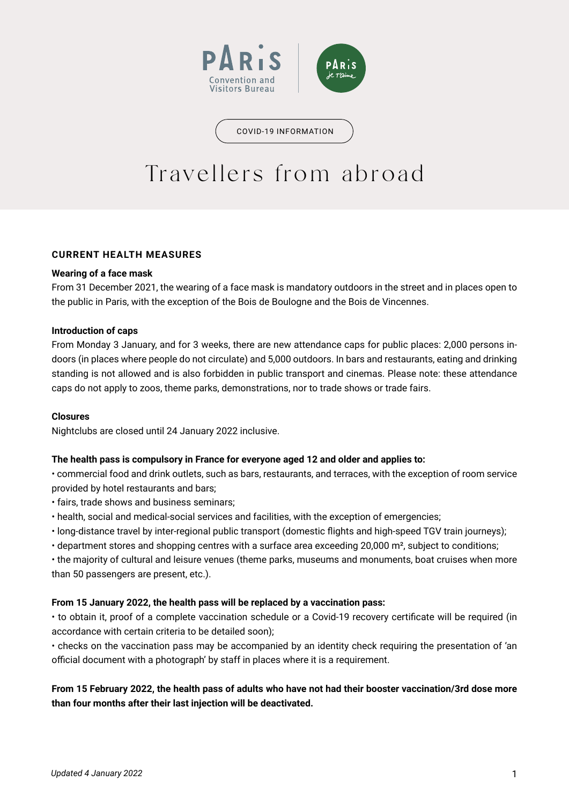

COVID-19 INFORMATION

# Travellers from abroad

# **CURRENT HEALTH MEASURES**

# **Wearing of a face mask**

From 31 December 2021, the wearing of a face mask is mandatory outdoors in the street and in places open to the public in Paris, with the exception of the Bois de Boulogne and the Bois de Vincennes.

## **Introduction of caps**

From Monday 3 January, and for 3 weeks, there are new attendance caps for public places: 2,000 persons indoors (in places where people do not circulate) and 5,000 outdoors. In bars and restaurants, eating and drinking standing is not allowed and is also forbidden in public transport and cinemas. Please note: these attendance caps do not apply to zoos, theme parks, demonstrations, nor to trade shows or trade fairs.

# **Closures**

Nightclubs are closed until 24 January 2022 inclusive.

# **The health pass is compulsory in France for everyone aged 12 and older and applies to:**

• commercial food and drink outlets, such as bars, restaurants, and terraces, with the exception of room service provided by hotel restaurants and bars;

- fairs, trade shows and business seminars;
- health, social and medical-social services and facilities, with the exception of emergencies;
- long-distance travel by inter-regional public transport (domestic flights and high-speed TGV train journeys);
- department stores and shopping centres with a surface area exceeding 20,000 m², subject to conditions;

• the majority of cultural and leisure venues (theme parks, museums and monuments, boat cruises when more than 50 passengers are present, etc.).

# **From 15 January 2022, the health pass will be replaced by a vaccination pass:**

• to obtain it, proof of a complete vaccination schedule or a Covid-19 recovery certificate will be required (in accordance with certain criteria to be detailed soon);

• checks on the vaccination pass may be accompanied by an identity check requiring the presentation of 'an official document with a photograph' by staff in places where it is a requirement.

# **From 15 February 2022, the health pass of adults who have not had their booster vaccination/3rd dose more than four months after their last injection will be deactivated.**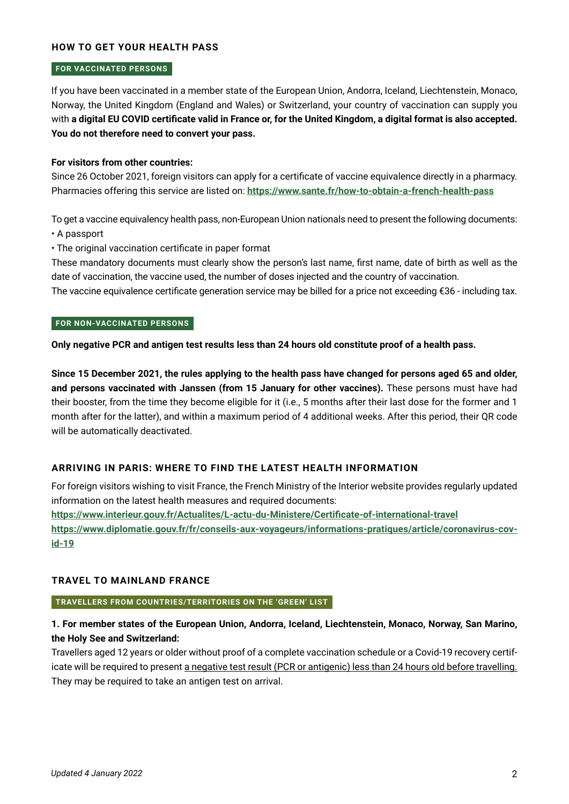## **HOW TO GET YOUR HEALTH PASS**

#### **FOR VACCINATED PERSONS**

If you have been vaccinated in a member state of the European Union, Andorra, Iceland, Liechtenstein, Monaco, Norway, the United Kingdom (England and Wales) or Switzerland, your country of vaccination can supply you with **a digital EU COVID certificate valid in France or, for the United Kingdom, a digital format is also accepted. You do not therefore need to convert your pass.** 

## **For visitors from other countries:**

Since 26 October 2021, foreign visitors can apply for a certificate of vaccine equivalence directly in a pharmacy. Pharmacies offering this service are listed on: **<https://www.sante.fr/how-to-obtain-a-french-health-pass>**

To get a vaccine equivalency health pass, non-European Union nationals need to present the following documents: • A passport

• The original vaccination certificate in paper format

These mandatory documents must clearly show the person's last name, first name, date of birth as well as the date of vaccination, the vaccine used, the number of doses injected and the country of vaccination.

The vaccine equivalence certificate generation service may be billed for a price not exceeding €36 - including tax.

#### **FOR NON-VACCINATED PERSONS**

**Only negative PCR and antigen test results less than 24 hours old constitute proof of a health pass.** 

**Since 15 December 2021, the rules applying to the health pass have changed for persons aged 65 and older, and persons vaccinated with Janssen (from 15 January for other vaccines).** These persons must have had their booster, from the time they become eligible for it (i.e., 5 months after their last dose for the former and 1 month after for the latter), and within a maximum period of 4 additional weeks. After this period, their QR code will be automatically deactivated.

# **ARRIVING IN PARIS: WHERE TO FIND THE LATEST HEALTH INFORMATION**

For foreign visitors wishing to visit France, the French Ministry of the Interior website provides regularly updated information on the latest health measures and required documents:

**<https://www.interieur.gouv.fr/Actualites/L-actu-du-Ministere/Certificate-of-international-travel>**

**[https://www.diplomatie.gouv.fr/fr/conseils-aux-voyageurs/informations-pratiques/article/coronavirus-cov](https://www.diplomatie.gouv.fr/fr/conseils-aux-voyageurs/informations-pratiques/article/coronavirus-covid-19)[id-19](https://www.diplomatie.gouv.fr/fr/conseils-aux-voyageurs/informations-pratiques/article/coronavirus-covid-19)**

#### **TRAVEL TO MAINLAND FRANCE**

**TRAVELLERS FROM COUNTRIES/TERRITORIES ON THE 'GREEN' LIST**

# **1. For member states of the European Union, Andorra, Iceland, Liechtenstein, Monaco, Norway, San Marino, the Holy See and Switzerland:**

Travellers aged 12 years or older without proof of a complete vaccination schedule or a Covid-19 recovery certificate will be required to present a negative test result (PCR or antigenic) less than 24 hours old before travelling. They may be required to take an antigen test on arrival.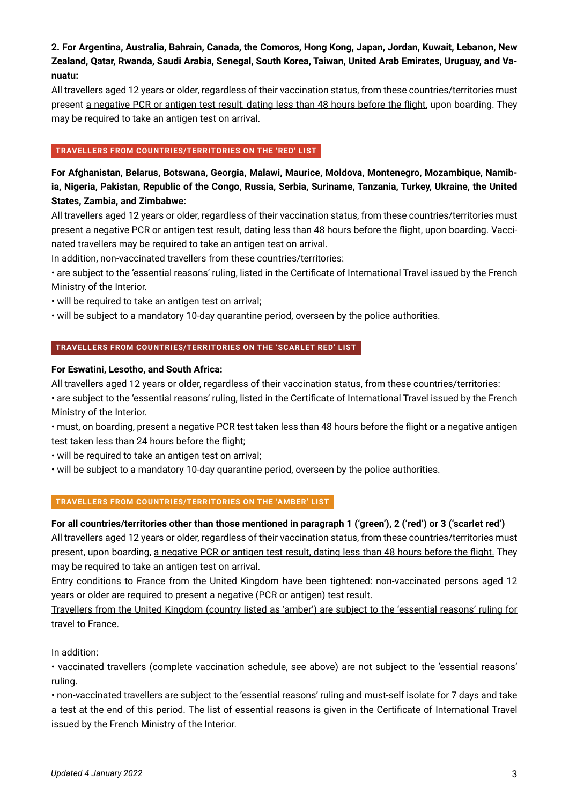# **2. For Argentina, Australia, Bahrain, Canada, the Comoros, Hong Kong, Japan, Jordan, Kuwait, Lebanon, New Zealand, Qatar, Rwanda, Saudi Arabia, Senegal, South Korea, Taiwan, United Arab Emirates, Uruguay, and Vanuatu:**

All travellers aged 12 years or older, regardless of their vaccination status, from these countries/territories must present a negative PCR or antigen test result, dating less than 48 hours before the flight, upon boarding. They may be required to take an antigen test on arrival.

## **TRAVELLERS FROM COUNTRIES/TERRITORIES ON THE 'RED' LIST**

**For Afghanistan, Belarus, Botswana, Georgia, Malawi, Maurice, Moldova, Montenegro, Mozambique, Namibia, Nigeria, Pakistan, Republic of the Congo, Russia, Serbia, Suriname, Tanzania, Turkey, Ukraine, the United States, Zambia, and Zimbabwe:**

All travellers aged 12 years or older, regardless of their vaccination status, from these countries/territories must present a negative PCR or antigen test result, dating less than 48 hours before the flight, upon boarding. Vaccinated travellers may be required to take an antigen test on arrival.

In addition, non-vaccinated travellers from these countries/territories:

• are subject to the 'essential reasons' ruling, listed in the Certificate of International Travel issued by the French Ministry of the Interior.

• will be required to take an antigen test on arrival;

• will be subject to a mandatory 10-day quarantine period, overseen by the police authorities.

## **TRAVELLERS FROM COUNTRIES/TERRITORIES ON THE 'SCARLET RED' LIST**

## **For Eswatini, Lesotho, and South Africa:**

All travellers aged 12 years or older, regardless of their vaccination status, from these countries/territories: • are subject to the 'essential reasons' ruling, listed in the Certificate of International Travel issued by the French Ministry of the Interior.

• must, on boarding, present a negative PCR test taken less than 48 hours before the flight or a negative antigen test taken less than 24 hours before the flight;

• will be required to take an antigen test on arrival;

• will be subject to a mandatory 10-day quarantine period, overseen by the police authorities.

## **TRAVELLERS FROM COUNTRIES/TERRITORIES ON THE 'AMBER' LIST**

# **For all countries/territories other than those mentioned in paragraph 1 ('green'), 2 ('red') or 3 ('scarlet red')**

All travellers aged 12 years or older, regardless of their vaccination status, from these countries/territories must present, upon boarding, a negative PCR or antigen test result, dating less than 48 hours before the flight. They may be required to take an antigen test on arrival.

Entry conditions to France from the United Kingdom have been tightened: non-vaccinated persons aged 12 years or older are required to present a negative (PCR or antigen) test result.

Travellers from the United Kingdom (country listed as 'amber') are subject to the 'essential reasons' ruling for travel to France.

In addition:

• vaccinated travellers (complete vaccination schedule, see above) are not subject to the 'essential reasons' ruling.

• non-vaccinated travellers are subject to the 'essential reasons' ruling and must-self isolate for 7 days and take a test at the end of this period. The list of essential reasons is given in the Certificate of International Travel issued by the French Ministry of the Interior.